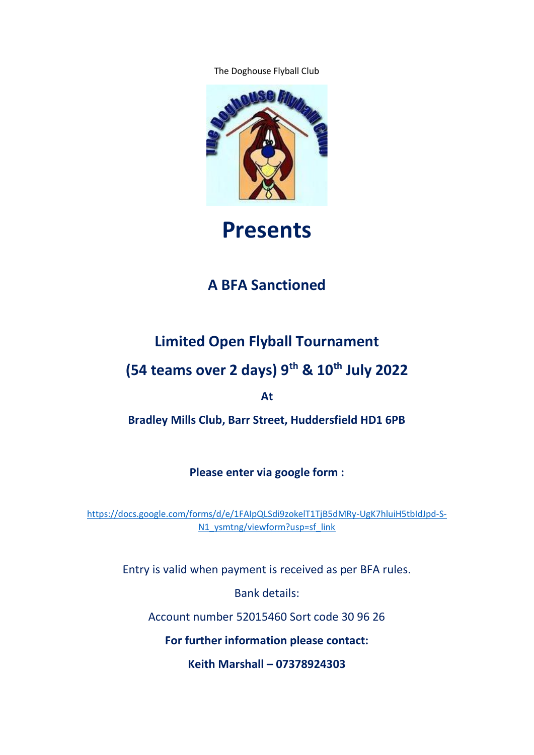The Doghouse Flyball Club



# **Presents**

### **A BFA Sanctioned**

### **Limited Open Flyball Tournament**

# **(54 teams over 2 days) 9th & 10th July 2022**

**At**

**Bradley Mills Club, Barr Street, Huddersfield HD1 6PB**

**Please enter via google form :**

[https://docs.google.com/forms/d/e/1FAIpQLSdi9zokelT1TjB5dMRy-UgK7hluiH5tbIdJpd-S-](https://docs.google.com/forms/d/e/1FAIpQLSdi9zokelT1TjB5dMRy-UgK7hluiH5tbIdJpd-S-N1_ysmtng/viewform?usp=sf_link)[N1\\_ysmtng/viewform?usp=sf\\_link](https://docs.google.com/forms/d/e/1FAIpQLSdi9zokelT1TjB5dMRy-UgK7hluiH5tbIdJpd-S-N1_ysmtng/viewform?usp=sf_link)

Entry is valid when payment is received as per BFA rules.

Bank details:

Account number 52015460 Sort code 30 96 26

**For further information please contact:**

**Keith Marshall – 07378924303**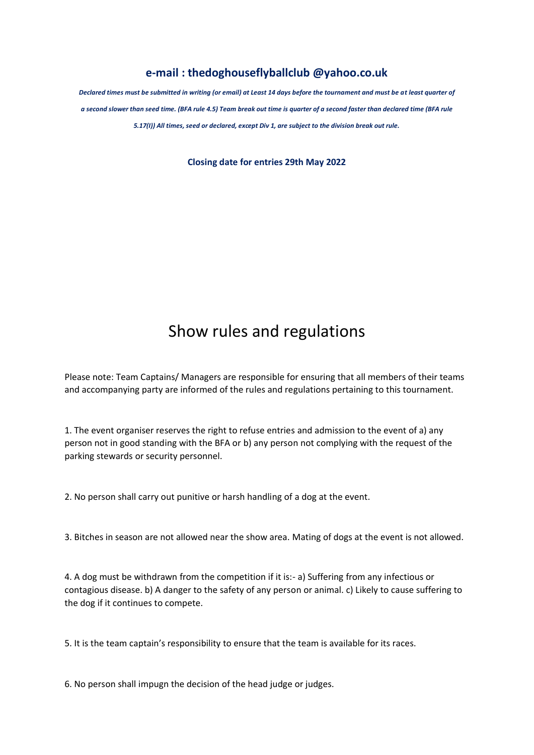#### **e-mail : thedoghouseflyballclub @yahoo.co.uk**

*Declared times must be submitted in writing (or email) at Least 14 days before the tournament and must be at least quarter of a second slower than seed time. (BFA rule 4.5) Team break out time is quarter of a second faster than declared time (BFA rule 5.17(I)) All times, seed or declared, except Div 1, are subject to the division break out rule.*

**Closing date for entries 29th May 2022**

# Show rules and regulations

Please note: Team Captains/ Managers are responsible for ensuring that all members of their teams and accompanying party are informed of the rules and regulations pertaining to this tournament.

1. The event organiser reserves the right to refuse entries and admission to the event of a) any person not in good standing with the BFA or b) any person not complying with the request of the parking stewards or security personnel.

2. No person shall carry out punitive or harsh handling of a dog at the event.

3. Bitches in season are not allowed near the show area. Mating of dogs at the event is not allowed.

4. A dog must be withdrawn from the competition if it is:- a) Suffering from any infectious or contagious disease. b) A danger to the safety of any person or animal. c) Likely to cause suffering to the dog if it continues to compete.

5. It is the team captain's responsibility to ensure that the team is available for its races.

6. No person shall impugn the decision of the head judge or judges.